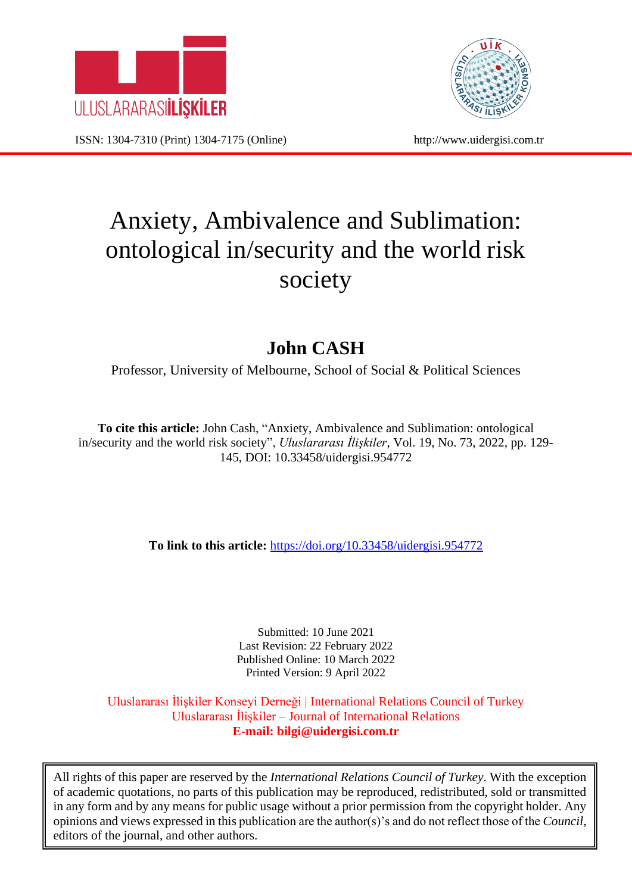

ISSN: 1304-7310 (Print) 1304-7175 (Online) http://www.uidergisi.com.tr



# Anxiety, Ambivalence and Sublimation: ontological in/security and the world risk society

# **John CASH**

Professor, University of Melbourne, School of Social & Political Sciences

**To cite this article:** John Cash, "Anxiety, Ambivalence and Sublimation: ontological in/security and the world risk society", *Uluslararası İlişkiler*, Vol. 19, No. 73, 2022, pp. 129- 145, DOI: 10.33458/uidergisi.954772

**To link to this article:** <https://doi.org/10.33458/uidergisi.954772>

Submitted: 10 June 2021 Last Revision: 22 February 2022 Published Online: 10 March 2022 Printed Version: 9 April 2022

Uluslararası İlişkiler Konseyi Derneği | International Relations Council of Turkey Uluslararası İlişkiler – Journal of International Relations **E-mail: bilgi@uidergisi.com.tr**

All rights of this paper are reserved by the *International Relations Council of Turkey*. With the exception of academic quotations, no parts of this publication may be reproduced, redistributed, sold or transmitted in any form and by any means for public usage without a prior permission from the copyright holder. Any opinions and views expressed in this publication are the author(s)'s and do not reflect those of the *Council*, editors of the journal, and other authors.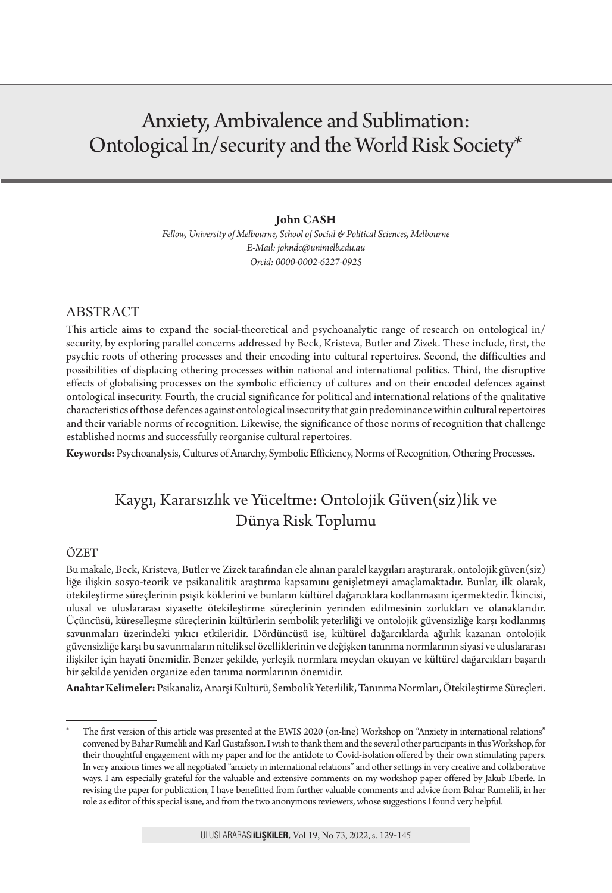# Anxiety, Ambivalence and Sublimation: Ontological In/security and the World Risk Society\*

#### **John CASH**

*Fellow, University of Melbourne, School of Social & Political Sciences, Melbourne E-Mail: johndc@unimelb.edu.au Orcid: 0000-0002-6227-0925*

#### ABSTRACT

This article aims to expand the social-theoretical and psychoanalytic range of research on ontological in/ security, by exploring parallel concerns addressed by Beck, Kristeva, Butler and Zizek. These include, first, the psychic roots of othering processes and their encoding into cultural repertoires. Second, the difficulties and possibilities of displacing othering processes within national and international politics. Third, the disruptive effects of globalising processes on the symbolic efficiency of cultures and on their encoded defences against ontological insecurity. Fourth, the crucial significance for political and international relations of the qualitative characteristics of those defences against ontological insecurity that gain predominance within cultural repertoires and their variable norms of recognition. Likewise, the significance of those norms of recognition that challenge established norms and successfully reorganise cultural repertoires.

**Keywords:** Psychoanalysis, Cultures of Anarchy, Symbolic Efficiency, Norms of Recognition, Othering Processes.

## Kaygı, Kararsızlık ve Yüceltme: Ontolojik Güven(siz)lik ve Dünya Risk Toplumu

#### ÖZET

Bu makale, Beck, Kristeva, Butler ve Zizek tarafından ele alınan paralel kaygıları araştırarak, ontolojik güven(siz) liğe ilişkin sosyo-teorik ve psikanalitik araştırma kapsamını genişletmeyi amaçlamaktadır. Bunlar, ilk olarak, ötekileştirme süreçlerinin psişik köklerini ve bunların kültürel dağarcıklara kodlanmasını içermektedir. İkincisi, ulusal ve uluslararası siyasette ötekileştirme süreçlerinin yerinden edilmesinin zorlukları ve olanaklarıdır. Üçüncüsü, küreselleşme süreçlerinin kültürlerin sembolik yeterliliği ve ontolojik güvensizliğe karşı kodlanmış savunmaları üzerindeki yıkıcı etkileridir. Dördüncüsü ise, kültürel dağarcıklarda ağırlık kazanan ontolojik güvensizliğe karşı bu savunmaların niteliksel özelliklerinin ve değişken tanınma normlarının siyasi ve uluslararası ilişkiler için hayati önemidir. Benzer şekilde, yerleşik normlara meydan okuyan ve kültürel dağarcıkları başarılı bir şekilde yeniden organize eden tanıma normlarının önemidir.

**Anahtar Kelimeler:** Psikanaliz, Anarşi Kültürü, Sembolik Yeterlilik, Tanınma Normları, Ötekileştirme Süreçleri.

The first version of this article was presented at the EWIS 2020 (on-line) Workshop on "Anxiety in international relations" convened by Bahar Rumelili and Karl Gustafsson. I wish to thank them and the several other participants in this Workshop, for their thoughtful engagement with my paper and for the antidote to Covid-isolation offered by their own stimulating papers. In very anxious times we all negotiated "anxiety in international relations" and other settings in very creative and collaborative ways. I am especially grateful for the valuable and extensive comments on my workshop paper offered by Jakub Eberle. In revising the paper for publication, I have benefitted from further valuable comments and advice from Bahar Rumelili, in her role as editor of this special issue, and from the two anonymous reviewers, whose suggestions I found very helpful.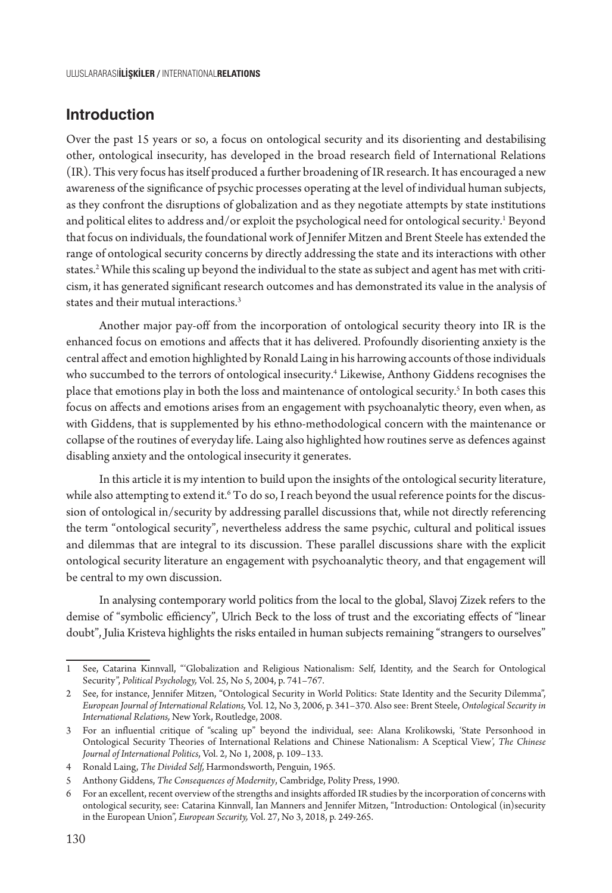#### **Introduction**

Over the past 15 years or so, a focus on ontological security and its disorienting and destabilising other, ontological insecurity, has developed in the broad research field of International Relations (IR). This very focus has itself produced a further broadening of IR research. It has encouraged a new awareness of the significance of psychic processes operating at the level of individual human subjects, as they confront the disruptions of globalization and as they negotiate attempts by state institutions and political elites to address and/or exploit the psychological need for ontological security. $^{\rm 1}$  Beyond that focus on individuals, the foundational work of Jennifer Mitzen and Brent Steele has extended the range of ontological security concerns by directly addressing the state and its interactions with other states.<sup>2</sup> While this scaling up beyond the individual to the state as subject and agent has met with criticism, it has generated significant research outcomes and has demonstrated its value in the analysis of states and their mutual interactions.<sup>3</sup>

Another major pay-off from the incorporation of ontological security theory into IR is the enhanced focus on emotions and affects that it has delivered. Profoundly disorienting anxiety is the central affect and emotion highlighted by Ronald Laing in his harrowing accounts of those individuals who succumbed to the terrors of ontological insecurity.4 Likewise, Anthony Giddens recognises the place that emotions play in both the loss and maintenance of ontological security.5 In both cases this focus on affects and emotions arises from an engagement with psychoanalytic theory, even when, as with Giddens, that is supplemented by his ethno-methodological concern with the maintenance or collapse of the routines of everyday life. Laing also highlighted how routines serve as defences against disabling anxiety and the ontological insecurity it generates.

In this article it is my intention to build upon the insights of the ontological security literature, while also attempting to extend it.<sup>6</sup> To do so, I reach beyond the usual reference points for the discussion of ontological in/security by addressing parallel discussions that, while not directly referencing the term "ontological security", nevertheless address the same psychic, cultural and political issues and dilemmas that are integral to its discussion. These parallel discussions share with the explicit ontological security literature an engagement with psychoanalytic theory, and that engagement will be central to my own discussion.

In analysing contemporary world politics from the local to the global, Slavoj Zizek refers to the demise of "symbolic efficiency", Ulrich Beck to the loss of trust and the excoriating effects of "linear doubt", Julia Kristeva highlights the risks entailed in human subjects remaining "strangers to ourselves"

<sup>1</sup> See, Catarina Kinnvall, "'Globalization and Religious Nationalism: Self, Identity, and the Search for Ontological Security", *Political Psychology,* Vol. 25, No 5, 2004, p. 741–767.

<sup>2</sup> See, for instance, Jennifer Mitzen, "Ontological Security in World Politics: State Identity and the Security Dilemma", *European Journal of International Relations,* Vol. 12, No 3, 2006, p. 341–370. Also see: Brent Steele, *Ontological Security in International Relations,* New York, Routledge, 2008.

<sup>3</sup> For an influential critique of "scaling up" beyond the individual, see: Alana Krolikowski, 'State Personhood in Ontological Security Theories of International Relations and Chinese Nationalism: A Sceptical View', *The Chinese Journal of International Politics*, Vol. 2, No 1, 2008, p. 109–133.

<sup>4</sup> Ronald Laing, *The Divided Self,* Harmondsworth, Penguin, 1965.

<sup>5</sup> Anthony Giddens, *The Consequences of Modernity*, Cambridge, Polity Press, 1990.

<sup>6</sup> For an excellent, recent overview of the strengths and insights afforded IR studies by the incorporation of concerns with ontological security, see: Catarina Kinnvall, Ian Manners and Jennifer Mitzen, "Introduction: Ontological (in)security in the European Union", *European Security,* Vol. 27, No 3, 2018, p. 249-265.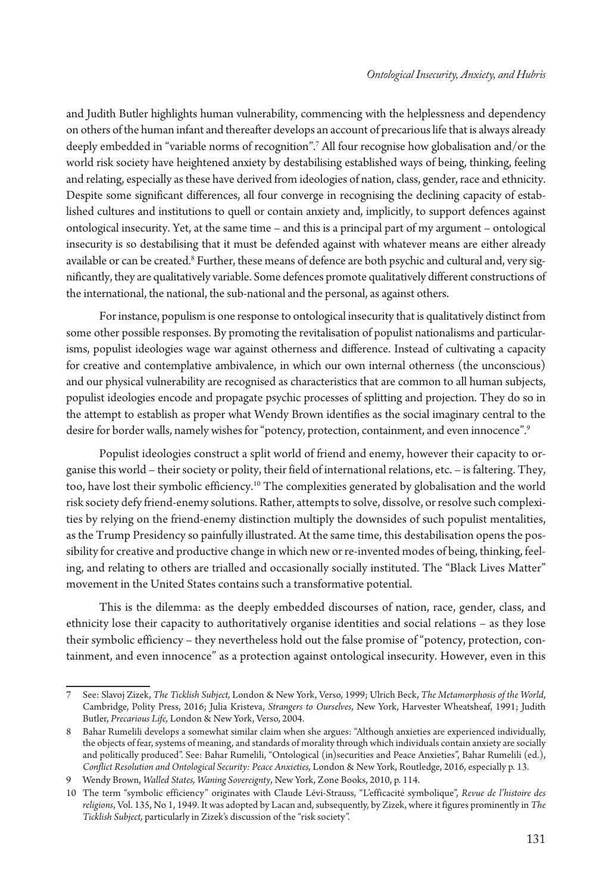and Judith Butler highlights human vulnerability, commencing with the helplessness and dependency on others of the human infant and thereafter develops an account of precarious life that is always already deeply embedded in "variable norms of recognition".7 All four recognise how globalisation and/or the world risk society have heightened anxiety by destabilising established ways of being, thinking, feeling and relating, especially as these have derived from ideologies of nation, class, gender, race and ethnicity. Despite some significant differences, all four converge in recognising the declining capacity of established cultures and institutions to quell or contain anxiety and, implicitly, to support defences against ontological insecurity. Yet, at the same time – and this is a principal part of my argument – ontological insecurity is so destabilising that it must be defended against with whatever means are either already available or can be created.<sup>8</sup> Further, these means of defence are both psychic and cultural and, very significantly, they are qualitatively variable. Some defences promote qualitatively different constructions of the international, the national, the sub-national and the personal, as against others.

For instance, populism is one response to ontological insecurity that is qualitatively distinct from some other possible responses. By promoting the revitalisation of populist nationalisms and particularisms, populist ideologies wage war against otherness and difference. Instead of cultivating a capacity for creative and contemplative ambivalence, in which our own internal otherness (the unconscious) and our physical vulnerability are recognised as characteristics that are common to all human subjects, populist ideologies encode and propagate psychic processes of splitting and projection. They do so in the attempt to establish as proper what Wendy Brown identifies as the social imaginary central to the desire for border walls, namely wishes for "potency, protection, containment, and even innocence".9

Populist ideologies construct a split world of friend and enemy, however their capacity to organise this world – their society or polity, their field of international relations, etc. – is faltering. They, too, have lost their symbolic efficiency.10 The complexities generated by globalisation and the world risk society defy friend-enemy solutions. Rather, attempts to solve, dissolve, or resolve such complexities by relying on the friend-enemy distinction multiply the downsides of such populist mentalities, as the Trump Presidency so painfully illustrated. At the same time, this destabilisation opens the possibility for creative and productive change in which new or re-invented modes of being, thinking, feeling, and relating to others are trialled and occasionally socially instituted. The "Black Lives Matter" movement in the United States contains such a transformative potential.

This is the dilemma: as the deeply embedded discourses of nation, race, gender, class, and ethnicity lose their capacity to authoritatively organise identities and social relations – as they lose their symbolic efficiency – they nevertheless hold out the false promise of "potency, protection, containment, and even innocence" as a protection against ontological insecurity. However, even in this

<sup>7</sup> See: Slavoj Zizek, *The Ticklish Subject,* London & New York, Verso, 1999; Ulrich Beck, *The Metamorphosis of the World*, Cambridge, Polity Press, 2016; Julia Kristeva, *Strangers to Ourselves*, New York, Harvester Wheatsheaf, 1991; Judith Butler, *Precarious Life,* London & New York, Verso, 2004.

<sup>8</sup> Bahar Rumelili develops a somewhat similar claim when she argues: "Although anxieties are experienced individually, the objects of fear, systems of meaning, and standards of morality through which individuals contain anxiety are socially and politically produced". See: Bahar Rumelili, "Ontological (in)securities and Peace Anxieties", Bahar Rumelili (ed.), *Conflict Resolution and Ontological Security: Peace Anxieties,* London & New York, Routledge, 2016, especially p. 13.

<sup>9</sup> Wendy Brown, *Walled States, Waning Sovereignty*, New York, Zone Books, 2010, p. 114.

<sup>10</sup> The term "symbolic efficiency" originates with Claude Lévi-Strauss, "L'efficacité symbolique", *Revue de l'histoire des religions*, Vol. 135, No 1, 1949. It was adopted by Lacan and, subsequently, by Zizek, where it figures prominently in *The Ticklish Subject,* particularly in Zizek's discussion of the "risk society".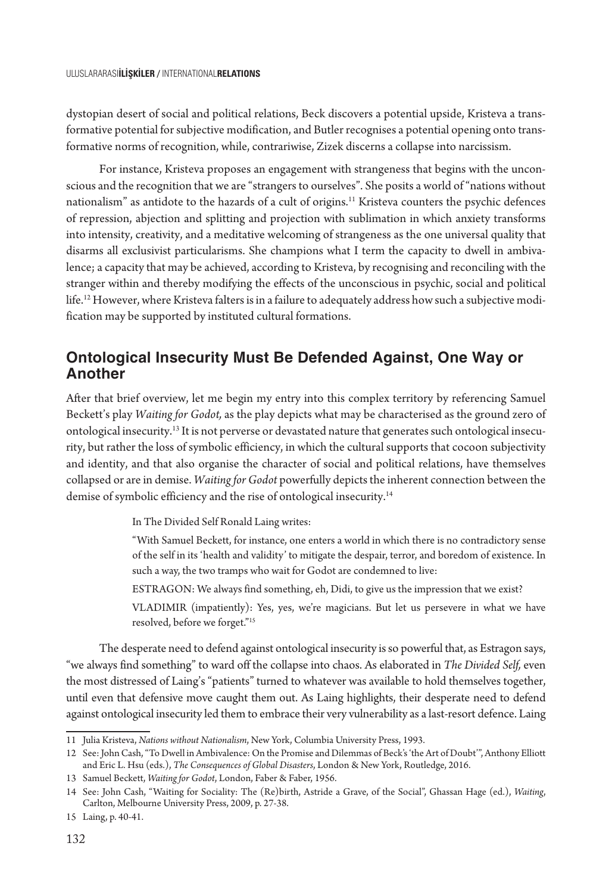dystopian desert of social and political relations, Beck discovers a potential upside, Kristeva a transformative potential for subjective modification, and Butler recognises a potential opening onto transformative norms of recognition, while, contrariwise, Zizek discerns a collapse into narcissism.

For instance, Kristeva proposes an engagement with strangeness that begins with the unconscious and the recognition that we are "strangers to ourselves". She posits a world of "nations without nationalism" as antidote to the hazards of a cult of origins.<sup>11</sup> Kristeva counters the psychic defences of repression, abjection and splitting and projection with sublimation in which anxiety transforms into intensity, creativity, and a meditative welcoming of strangeness as the one universal quality that disarms all exclusivist particularisms. She champions what I term the capacity to dwell in ambivalence; a capacity that may be achieved, according to Kristeva, by recognising and reconciling with the stranger within and thereby modifying the effects of the unconscious in psychic, social and political life.12 However, where Kristeva falters is in a failure to adequately address how such a subjective modification may be supported by instituted cultural formations.

#### **Ontological Insecurity Must Be Defended Against, One Way or Another**

After that brief overview, let me begin my entry into this complex territory by referencing Samuel Beckett's play *Waiting for Godot,* as the play depicts what may be characterised as the ground zero of ontological insecurity.13 It is not perverse or devastated nature that generates such ontological insecurity, but rather the loss of symbolic efficiency, in which the cultural supports that cocoon subjectivity and identity, and that also organise the character of social and political relations, have themselves collapsed or are in demise. *Waiting for Godot* powerfully depicts the inherent connection between the demise of symbolic efficiency and the rise of ontological insecurity.<sup>14</sup>

In The Divided Self Ronald Laing writes:

"With Samuel Beckett, for instance, one enters a world in which there is no contradictory sense of the self in its 'health and validity' to mitigate the despair, terror, and boredom of existence. In such a way, the two tramps who wait for Godot are condemned to live:

ESTRAGON: We always find something, eh, Didi, to give us the impression that we exist?

VLADIMIR (impatiently): Yes, yes, we're magicians. But let us persevere in what we have resolved, before we forget."15

The desperate need to defend against ontological insecurity is so powerful that, as Estragon says, "we always find something" to ward off the collapse into chaos. As elaborated in *The Divided Self,* even the most distressed of Laing's "patients" turned to whatever was available to hold themselves together, until even that defensive move caught them out. As Laing highlights, their desperate need to defend against ontological insecurity led them to embrace their very vulnerability as a last-resort defence. Laing

<sup>11</sup> Julia Kristeva, *Nations without Nationalism*, New York, Columbia University Press, 1993.

<sup>12</sup> See: John Cash, "To Dwell in Ambivalence: On the Promise and Dilemmas of Beck's 'the Art of Doubt'", Anthony Elliott and Eric L. Hsu (eds.), *The Consequences of Global Disasters*, London & New York, Routledge, 2016.

<sup>13</sup> Samuel Beckett, *Waiting for Godot*, London, Faber & Faber, 1956.

<sup>14</sup> See: John Cash, "Waiting for Sociality: The (Re)birth, Astride a Grave, of the Social", Ghassan Hage (ed.), *Waiting*, Carlton, Melbourne University Press, 2009, p. 27-38.

<sup>15</sup> Laing, p. 40-41.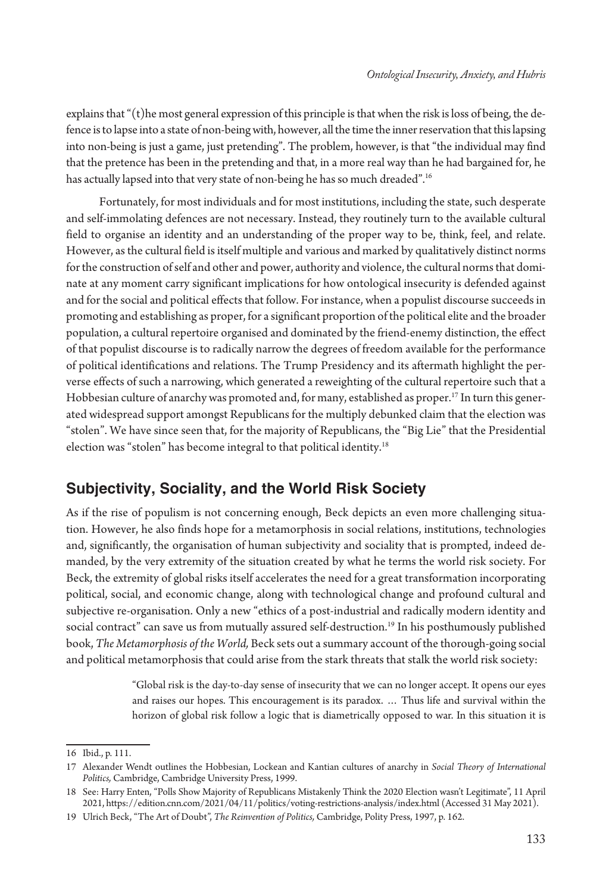explains that "(t)he most general expression of this principle is that when the risk is loss of being, the defence is to lapse into a state of non-being with, however, all the time the inner reservation that this lapsing into non-being is just a game, just pretending". The problem, however, is that "the individual may find that the pretence has been in the pretending and that, in a more real way than he had bargained for, he has actually lapsed into that very state of non-being he has so much dreaded".<sup>16</sup>

Fortunately, for most individuals and for most institutions, including the state, such desperate and self-immolating defences are not necessary. Instead, they routinely turn to the available cultural field to organise an identity and an understanding of the proper way to be, think, feel, and relate. However, as the cultural field is itself multiple and various and marked by qualitatively distinct norms for the construction of self and other and power, authority and violence, the cultural norms that dominate at any moment carry significant implications for how ontological insecurity is defended against and for the social and political effects that follow. For instance, when a populist discourse succeeds in promoting and establishing as proper, for a significant proportion of the political elite and the broader population, a cultural repertoire organised and dominated by the friend-enemy distinction, the effect of that populist discourse is to radically narrow the degrees of freedom available for the performance of political identifications and relations. The Trump Presidency and its aftermath highlight the perverse effects of such a narrowing, which generated a reweighting of the cultural repertoire such that a Hobbesian culture of anarchy was promoted and, for many, established as proper.17 In turn this generated widespread support amongst Republicans for the multiply debunked claim that the election was "stolen". We have since seen that, for the majority of Republicans, the "Big Lie" that the Presidential election was "stolen" has become integral to that political identity.18

### **Subjectivity, Sociality, and the World Risk Society**

As if the rise of populism is not concerning enough, Beck depicts an even more challenging situation. However, he also finds hope for a metamorphosis in social relations, institutions, technologies and, significantly, the organisation of human subjectivity and sociality that is prompted, indeed demanded, by the very extremity of the situation created by what he terms the world risk society. For Beck, the extremity of global risks itself accelerates the need for a great transformation incorporating political, social, and economic change, along with technological change and profound cultural and subjective re-organisation. Only a new "ethics of a post-industrial and radically modern identity and social contract" can save us from mutually assured self-destruction.<sup>19</sup> In his posthumously published book, *The Metamorphosis of the World,* Beck sets out a summary account of the thorough-going social and political metamorphosis that could arise from the stark threats that stalk the world risk society:

> "Global risk is the day-to-day sense of insecurity that we can no longer accept. It opens our eyes and raises our hopes. This encouragement is its paradox. … Thus life and survival within the horizon of global risk follow a logic that is diametrically opposed to war. In this situation it is

<sup>16</sup> Ibid., p. 111.

<sup>17</sup> Alexander Wendt outlines the Hobbesian, Lockean and Kantian cultures of anarchy in *Social Theory of International Politics,* Cambridge, Cambridge University Press, 1999.

<sup>18</sup> See: Harry Enten, "Polls Show Majority of Republicans Mistakenly Think the 2020 Election wasn't Legitimate", 11 April 2021, https://edition.cnn.com/2021/04/11/politics/voting-restrictions-analysis/index.html (Accessed 31 May 2021).

<sup>19</sup> Ulrich Beck, "The Art of Doubt", *The Reinvention of Politics,* Cambridge, Polity Press, 1997, p. 162.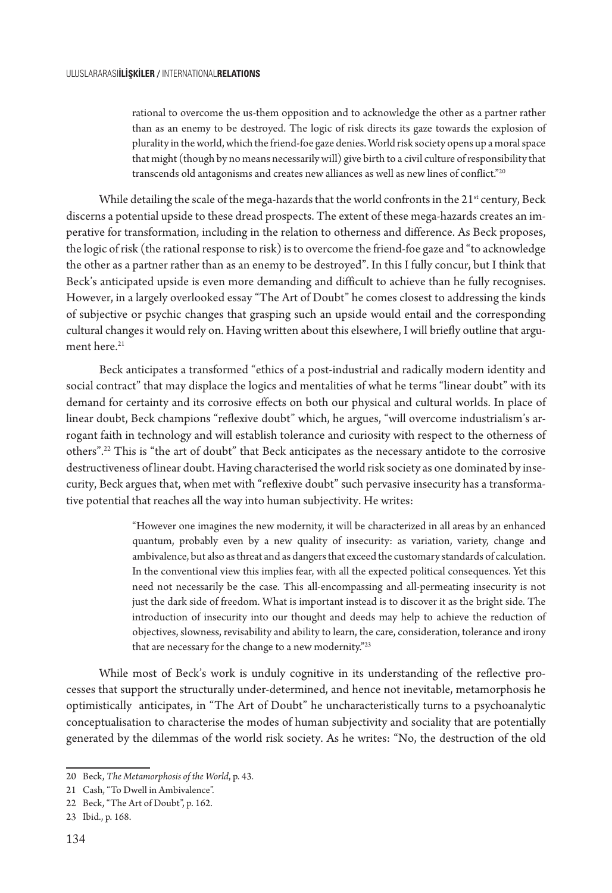rational to overcome the us-them opposition and to acknowledge the other as a partner rather than as an enemy to be destroyed. The logic of risk directs its gaze towards the explosion of plurality in the world, which the friend-foe gaze denies. World risk society opens up a moral space that might (though by no means necessarily will) give birth to a civil culture of responsibility that transcends old antagonisms and creates new alliances as well as new lines of conflict."<sup>20</sup>

While detailing the scale of the mega-hazards that the world confronts in the  $21<sup>st</sup>$  century, Beck discerns a potential upside to these dread prospects. The extent of these mega-hazards creates an imperative for transformation, including in the relation to otherness and difference. As Beck proposes, the logic of risk (the rational response to risk) is to overcome the friend-foe gaze and "to acknowledge the other as a partner rather than as an enemy to be destroyed". In this I fully concur, but I think that Beck's anticipated upside is even more demanding and difficult to achieve than he fully recognises. However, in a largely overlooked essay "The Art of Doubt" he comes closest to addressing the kinds of subjective or psychic changes that grasping such an upside would entail and the corresponding cultural changes it would rely on. Having written about this elsewhere, I will briefly outline that argument here.<sup>21</sup>

Beck anticipates a transformed "ethics of a post-industrial and radically modern identity and social contract" that may displace the logics and mentalities of what he terms "linear doubt" with its demand for certainty and its corrosive effects on both our physical and cultural worlds. In place of linear doubt, Beck champions "reflexive doubt" which, he argues, "will overcome industrialism's arrogant faith in technology and will establish tolerance and curiosity with respect to the otherness of others".22 This is "the art of doubt" that Beck anticipates as the necessary antidote to the corrosive destructiveness of linear doubt. Having characterised the world risk society as one dominated by insecurity, Beck argues that, when met with "reflexive doubt" such pervasive insecurity has a transformative potential that reaches all the way into human subjectivity. He writes:

> "However one imagines the new modernity, it will be characterized in all areas by an enhanced quantum, probably even by a new quality of insecurity: as variation, variety, change and ambivalence, but also as threat and as dangers that exceed the customary standards of calculation. In the conventional view this implies fear, with all the expected political consequences. Yet this need not necessarily be the case. This all-encompassing and all-permeating insecurity is not just the dark side of freedom. What is important instead is to discover it as the bright side. The introduction of insecurity into our thought and deeds may help to achieve the reduction of objectives, slowness, revisability and ability to learn, the care, consideration, tolerance and irony that are necessary for the change to a new modernity."<sup>23</sup>

While most of Beck's work is unduly cognitive in its understanding of the reflective processes that support the structurally under-determined, and hence not inevitable, metamorphosis he optimistically anticipates, in "The Art of Doubt" he uncharacteristically turns to a psychoanalytic conceptualisation to characterise the modes of human subjectivity and sociality that are potentially generated by the dilemmas of the world risk society. As he writes: "No, the destruction of the old

<sup>20</sup> Beck, *The Metamorphosis of the World*, p. 43.

<sup>21</sup> Cash, "To Dwell in Ambivalence".

<sup>22</sup> Beck, "The Art of Doubt", p. 162.

<sup>23</sup> Ibid., p. 168.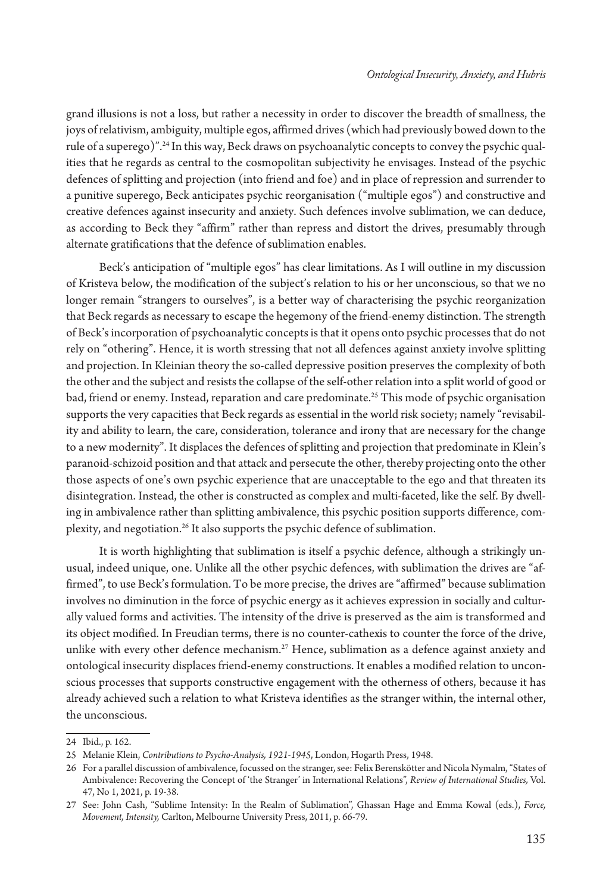grand illusions is not a loss, but rather a necessity in order to discover the breadth of smallness, the joys of relativism, ambiguity, multiple egos, affirmed drives (which had previously bowed down to the rule of a superego)".24 In this way, Beck draws on psychoanalytic concepts to convey the psychic qualities that he regards as central to the cosmopolitan subjectivity he envisages. Instead of the psychic defences of splitting and projection (into friend and foe) and in place of repression and surrender to a punitive superego, Beck anticipates psychic reorganisation ("multiple egos") and constructive and creative defences against insecurity and anxiety. Such defences involve sublimation, we can deduce, as according to Beck they "affirm" rather than repress and distort the drives, presumably through alternate gratifications that the defence of sublimation enables.

Beck's anticipation of "multiple egos" has clear limitations. As I will outline in my discussion of Kristeva below, the modification of the subject's relation to his or her unconscious, so that we no longer remain "strangers to ourselves", is a better way of characterising the psychic reorganization that Beck regards as necessary to escape the hegemony of the friend-enemy distinction. The strength of Beck's incorporation of psychoanalytic concepts is that it opens onto psychic processes that do not rely on "othering". Hence, it is worth stressing that not all defences against anxiety involve splitting and projection. In Kleinian theory the so-called depressive position preserves the complexity of both the other and the subject and resists the collapse of the self-other relation into a split world of good or bad, friend or enemy. Instead, reparation and care predominate.<sup>25</sup> This mode of psychic organisation supports the very capacities that Beck regards as essential in the world risk society; namely "revisability and ability to learn, the care, consideration, tolerance and irony that are necessary for the change to a new modernity". It displaces the defences of splitting and projection that predominate in Klein's paranoid-schizoid position and that attack and persecute the other, thereby projecting onto the other those aspects of one's own psychic experience that are unacceptable to the ego and that threaten its disintegration. Instead, the other is constructed as complex and multi-faceted, like the self. By dwelling in ambivalence rather than splitting ambivalence, this psychic position supports difference, complexity, and negotiation.26 It also supports the psychic defence of sublimation.

It is worth highlighting that sublimation is itself a psychic defence, although a strikingly unusual, indeed unique, one. Unlike all the other psychic defences, with sublimation the drives are "affirmed", to use Beck's formulation. To be more precise, the drives are "affirmed" because sublimation involves no diminution in the force of psychic energy as it achieves expression in socially and culturally valued forms and activities. The intensity of the drive is preserved as the aim is transformed and its object modified. In Freudian terms, there is no counter-cathexis to counter the force of the drive, unlike with every other defence mechanism.27 Hence, sublimation as a defence against anxiety and ontological insecurity displaces friend-enemy constructions. It enables a modified relation to unconscious processes that supports constructive engagement with the otherness of others, because it has already achieved such a relation to what Kristeva identifies as the stranger within, the internal other, the unconscious.

<sup>24</sup> Ibid., p. 162.

<sup>25</sup> Melanie Klein, *Contributions to Psycho-Analysis, 1921-1945*, London, Hogarth Press, 1948.

<sup>26</sup> For a parallel discussion of ambivalence, focussed on the stranger, see: Felix Berenskötter and Nicola Nymalm, "States of Ambivalence: Recovering the Concept of 'the Stranger' in International Relations", *Review of International Studies,* Vol. 47, No 1, 2021, p. 19-38.

<sup>27</sup> See: John Cash, "Sublime Intensity: In the Realm of Sublimation", Ghassan Hage and Emma Kowal (eds.), *Force, Movement, Intensity,* Carlton, Melbourne University Press, 2011, p. 66-79.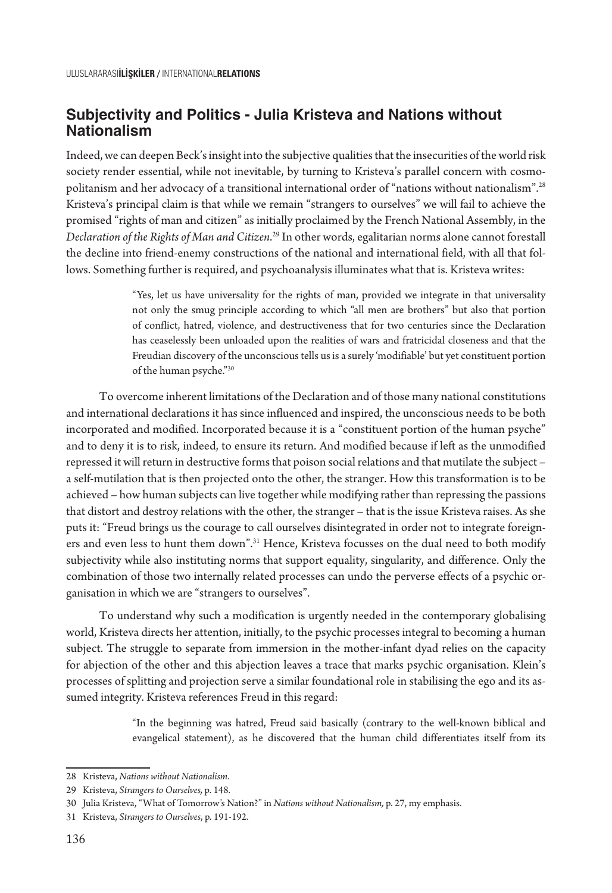#### **Subjectivity and Politics - Julia Kristeva and Nations without Nationalism**

Indeed, we can deepen Beck's insight into the subjective qualities that the insecurities of the world risk society render essential, while not inevitable, by turning to Kristeva's parallel concern with cosmopolitanism and her advocacy of a transitional international order of "nations without nationalism".<sup>28</sup> Kristeva's principal claim is that while we remain "strangers to ourselves" we will fail to achieve the promised "rights of man and citizen" as initially proclaimed by the French National Assembly, in the *Declaration of the Rights of Man and Citizen*. 29 In other words, egalitarian norms alone cannot forestall the decline into friend-enemy constructions of the national and international field, with all that follows. Something further is required, and psychoanalysis illuminates what that is. Kristeva writes:

> "Yes, let us have universality for the rights of man, provided we integrate in that universality not only the smug principle according to which "all men are brothers" but also that portion of conflict, hatred, violence, and destructiveness that for two centuries since the Declaration has ceaselessly been unloaded upon the realities of wars and fratricidal closeness and that the Freudian discovery of the unconscious tells us is a surely 'modifiable' but yet constituent portion of the human psyche."30

To overcome inherent limitations of the Declaration and of those many national constitutions and international declarations it has since influenced and inspired, the unconscious needs to be both incorporated and modified. Incorporated because it is a "constituent portion of the human psyche" and to deny it is to risk, indeed, to ensure its return. And modified because if left as the unmodified repressed it will return in destructive forms that poison social relations and that mutilate the subject – a self-mutilation that is then projected onto the other, the stranger. How this transformation is to be achieved – how human subjects can live together while modifying rather than repressing the passions that distort and destroy relations with the other, the stranger – that is the issue Kristeva raises. As she puts it: "Freud brings us the courage to call ourselves disintegrated in order not to integrate foreigners and even less to hunt them down".31 Hence, Kristeva focusses on the dual need to both modify subjectivity while also instituting norms that support equality, singularity, and difference. Only the combination of those two internally related processes can undo the perverse effects of a psychic organisation in which we are "strangers to ourselves".

To understand why such a modification is urgently needed in the contemporary globalising world, Kristeva directs her attention, initially, to the psychic processes integral to becoming a human subject. The struggle to separate from immersion in the mother-infant dyad relies on the capacity for abjection of the other and this abjection leaves a trace that marks psychic organisation. Klein's processes of splitting and projection serve a similar foundational role in stabilising the ego and its assumed integrity. Kristeva references Freud in this regard:

> "In the beginning was hatred, Freud said basically (contrary to the well-known biblical and evangelical statement), as he discovered that the human child differentiates itself from its

<sup>28</sup> Kristeva, *Nations without Nationalism*.

<sup>29</sup> Kristeva, *Strangers to Ourselves,* p. 148.

<sup>30</sup> Julia Kristeva, "What of Tomorrow's Nation?" in *Nations without Nationalism,* p. 27, my emphasis.

<sup>31</sup> Kristeva, *Strangers to Ourselves*, p. 191-192.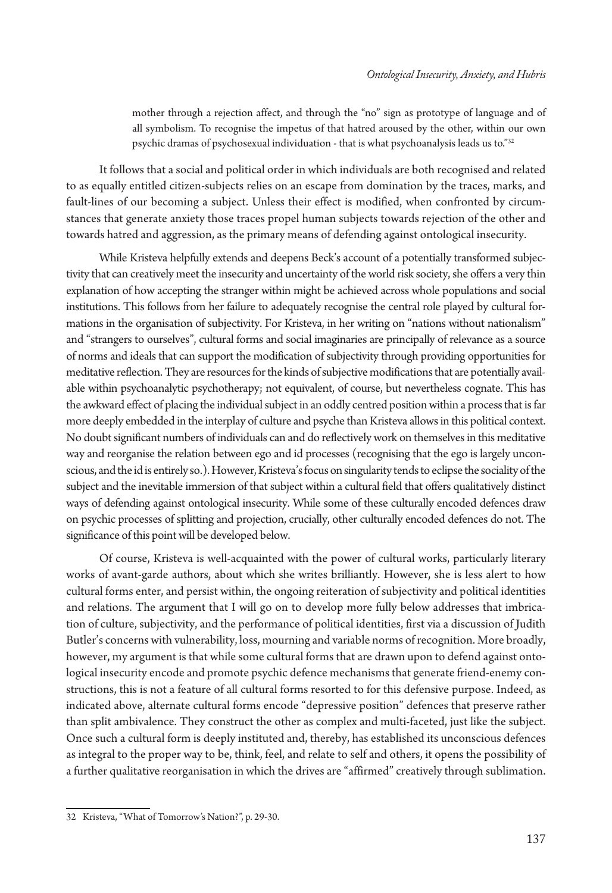mother through a rejection affect, and through the "no" sign as prototype of language and of all symbolism. To recognise the impetus of that hatred aroused by the other, within our own psychic dramas of psychosexual individuation - that is what psychoanalysis leads us to."32

It follows that a social and political order in which individuals are both recognised and related to as equally entitled citizen-subjects relies on an escape from domination by the traces, marks, and fault-lines of our becoming a subject. Unless their effect is modified, when confronted by circumstances that generate anxiety those traces propel human subjects towards rejection of the other and towards hatred and aggression, as the primary means of defending against ontological insecurity.

While Kristeva helpfully extends and deepens Beck's account of a potentially transformed subjectivity that can creatively meet the insecurity and uncertainty of the world risk society, she offers a very thin explanation of how accepting the stranger within might be achieved across whole populations and social institutions. This follows from her failure to adequately recognise the central role played by cultural formations in the organisation of subjectivity. For Kristeva, in her writing on "nations without nationalism" and "strangers to ourselves", cultural forms and social imaginaries are principally of relevance as a source of norms and ideals that can support the modification of subjectivity through providing opportunities for meditative reflection. They are resources for the kinds of subjective modifications that are potentially available within psychoanalytic psychotherapy; not equivalent, of course, but nevertheless cognate. This has the awkward effect of placing the individual subject in an oddly centred position within a process that is far more deeply embedded in the interplay of culture and psyche than Kristeva allows in this political context. No doubt significant numbers of individuals can and do reflectively work on themselves in this meditative way and reorganise the relation between ego and id processes (recognising that the ego is largely unconscious, and the id is entirely so.). However, Kristeva's focus on singularity tends to eclipse the sociality of the subject and the inevitable immersion of that subject within a cultural field that offers qualitatively distinct ways of defending against ontological insecurity. While some of these culturally encoded defences draw on psychic processes of splitting and projection, crucially, other culturally encoded defences do not. The significance of this point will be developed below.

Of course, Kristeva is well-acquainted with the power of cultural works, particularly literary works of avant-garde authors, about which she writes brilliantly. However, she is less alert to how cultural forms enter, and persist within, the ongoing reiteration of subjectivity and political identities and relations. The argument that I will go on to develop more fully below addresses that imbrication of culture, subjectivity, and the performance of political identities, first via a discussion of Judith Butler's concerns with vulnerability, loss, mourning and variable norms of recognition. More broadly, however, my argument is that while some cultural forms that are drawn upon to defend against ontological insecurity encode and promote psychic defence mechanisms that generate friend-enemy constructions, this is not a feature of all cultural forms resorted to for this defensive purpose. Indeed, as indicated above, alternate cultural forms encode "depressive position" defences that preserve rather than split ambivalence. They construct the other as complex and multi-faceted, just like the subject. Once such a cultural form is deeply instituted and, thereby, has established its unconscious defences as integral to the proper way to be, think, feel, and relate to self and others, it opens the possibility of a further qualitative reorganisation in which the drives are "affirmed" creatively through sublimation.

<sup>32</sup> Kristeva, "What of Tomorrow's Nation?", p. 29-30.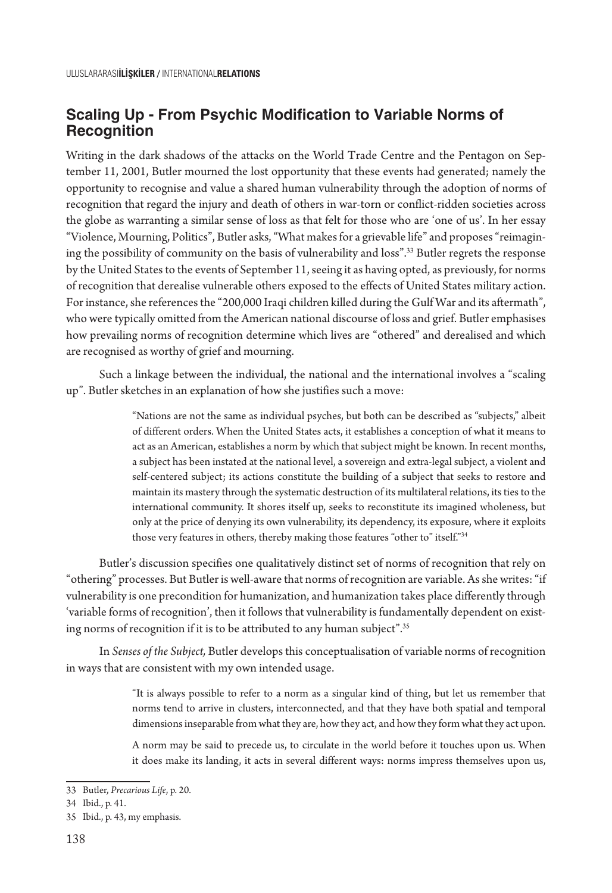#### **Scaling Up - From Psychic Modification to Variable Norms of Recognition**

Writing in the dark shadows of the attacks on the World Trade Centre and the Pentagon on September 11, 2001, Butler mourned the lost opportunity that these events had generated; namely the opportunity to recognise and value a shared human vulnerability through the adoption of norms of recognition that regard the injury and death of others in war-torn or conflict-ridden societies across the globe as warranting a similar sense of loss as that felt for those who are 'one of us'. In her essay "Violence, Mourning, Politics", Butler asks, "What makes for a grievable life" and proposes "reimagining the possibility of community on the basis of vulnerability and loss".33 Butler regrets the response by the United States to the events of September 11, seeing it as having opted, as previously, for norms of recognition that derealise vulnerable others exposed to the effects of United States military action. For instance, she references the "200,000 Iraqi children killed during the Gulf War and its aftermath", who were typically omitted from the American national discourse of loss and grief. Butler emphasises how prevailing norms of recognition determine which lives are "othered" and derealised and which are recognised as worthy of grief and mourning.

Such a linkage between the individual, the national and the international involves a "scaling up". Butler sketches in an explanation of how she justifies such a move:

> "Nations are not the same as individual psyches, but both can be described as "subjects," albeit of different orders. When the United States acts, it establishes a conception of what it means to act as an American, establishes a norm by which that subject might be known. In recent months, a subject has been instated at the national level, a sovereign and extra-legal subject, a violent and self-centered subject; its actions constitute the building of a subject that seeks to restore and maintain its mastery through the systematic destruction of its multilateral relations, its ties to the international community. It shores itself up, seeks to reconstitute its imagined wholeness, but only at the price of denying its own vulnerability, its dependency, its exposure, where it exploits those very features in others, thereby making those features "other to" itself."34

Butler's discussion specifies one qualitatively distinct set of norms of recognition that rely on "othering" processes. But Butler is well-aware that norms of recognition are variable. As she writes: "if vulnerability is one precondition for humanization, and humanization takes place differently through 'variable forms of recognition', then it follows that vulnerability is fundamentally dependent on existing norms of recognition if it is to be attributed to any human subject".<sup>35</sup>

In *Senses of the Subject,* Butler develops this conceptualisation of variable norms of recognition in ways that are consistent with my own intended usage.

> "It is always possible to refer to a norm as a singular kind of thing, but let us remember that norms tend to arrive in clusters, interconnected, and that they have both spatial and temporal dimensions inseparable from what they are, how they act, and how they form what they act upon.

> A norm may be said to precede us, to circulate in the world before it touches upon us. When it does make its landing, it acts in several different ways: norms impress themselves upon us,

<sup>33</sup> Butler, *Precarious Life*, p. 20.

<sup>34</sup> Ibid., p. 41.

<sup>35</sup> Ibid., p. 43, my emphasis.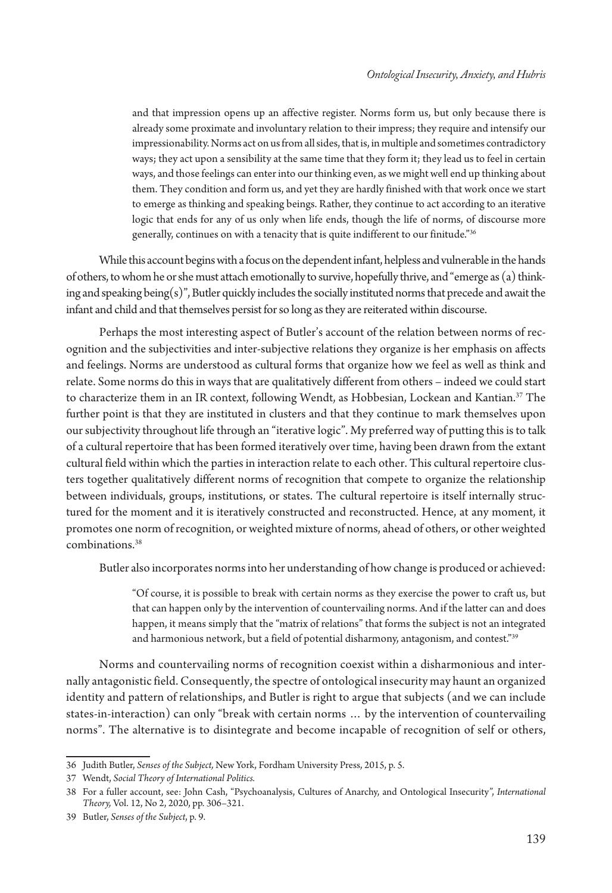and that impression opens up an affective register. Norms form us, but only because there is already some proximate and involuntary relation to their impress; they require and intensify our impressionability. Norms act on us from all sides, that is, in multiple and sometimes contradictory ways; they act upon a sensibility at the same time that they form it; they lead us to feel in certain ways, and those feelings can enter into our thinking even, as we might well end up thinking about them. They condition and form us, and yet they are hardly finished with that work once we start to emerge as thinking and speaking beings. Rather, they continue to act according to an iterative logic that ends for any of us only when life ends, though the life of norms, of discourse more generally, continues on with a tenacity that is quite indifferent to our finitude."36

While this account begins with a focus on the dependent infant, helpless and vulnerable in the hands of others, to whom he or she must attach emotionally to survive, hopefully thrive, and "emerge as (a) thinking and speaking being(s)", Butler quickly includes the socially instituted norms that precede and await the infant and child and that themselves persist for so long as they are reiterated within discourse.

Perhaps the most interesting aspect of Butler's account of the relation between norms of recognition and the subjectivities and inter-subjective relations they organize is her emphasis on affects and feelings. Norms are understood as cultural forms that organize how we feel as well as think and relate. Some norms do this in ways that are qualitatively different from others – indeed we could start to characterize them in an IR context, following Wendt, as Hobbesian, Lockean and Kantian.<sup>37</sup> The further point is that they are instituted in clusters and that they continue to mark themselves upon our subjectivity throughout life through an "iterative logic". My preferred way of putting this is to talk of a cultural repertoire that has been formed iteratively over time, having been drawn from the extant cultural field within which the parties in interaction relate to each other. This cultural repertoire clusters together qualitatively different norms of recognition that compete to organize the relationship between individuals, groups, institutions, or states. The cultural repertoire is itself internally structured for the moment and it is iteratively constructed and reconstructed. Hence, at any moment, it promotes one norm of recognition, or weighted mixture of norms, ahead of others, or other weighted combinations.38

Butler also incorporates norms into her understanding of how change is produced or achieved:

"Of course, it is possible to break with certain norms as they exercise the power to craft us, but that can happen only by the intervention of countervailing norms. And if the latter can and does happen, it means simply that the "matrix of relations" that forms the subject is not an integrated and harmonious network, but a field of potential disharmony, antagonism, and contest."<sup>39</sup>

Norms and countervailing norms of recognition coexist within a disharmonious and internally antagonistic field. Consequently, the spectre of ontological insecurity may haunt an organized identity and pattern of relationships, and Butler is right to argue that subjects (and we can include states-in-interaction) can only "break with certain norms … by the intervention of countervailing norms". The alternative is to disintegrate and become incapable of recognition of self or others,

<sup>36</sup> Judith Butler, *Senses of the Subject,* New York, Fordham University Press, 2015, p. 5.

<sup>37</sup> Wendt, *Social Theory of International Politics.*

<sup>38</sup> For a fuller account, see: John Cash, "Psychoanalysis, Cultures of Anarchy, and Ontological Insecurity", *International Theory,* Vol. 12, No 2, 2020, pp. 306–321.

<sup>39</sup> Butler, *Senses of the Subject*, p. 9.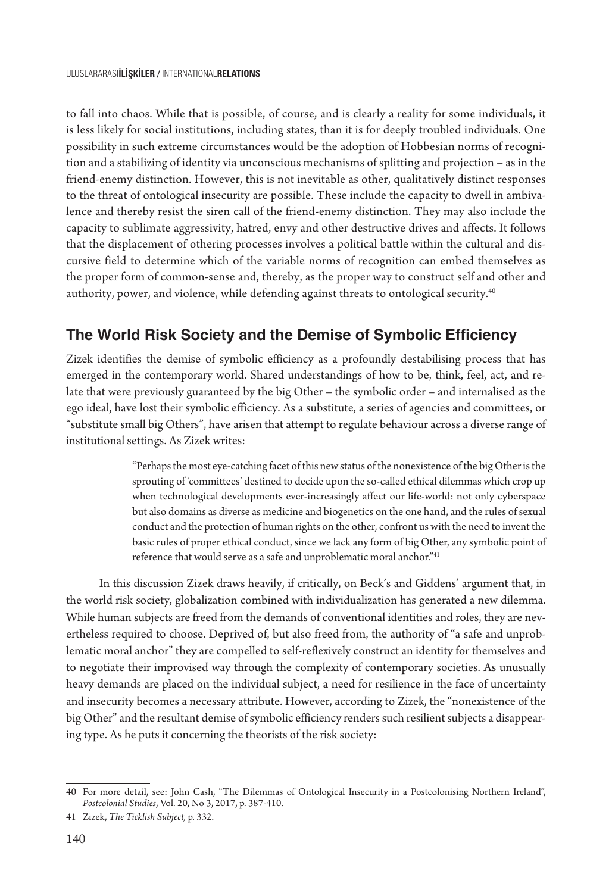to fall into chaos. While that is possible, of course, and is clearly a reality for some individuals, it is less likely for social institutions, including states, than it is for deeply troubled individuals. One possibility in such extreme circumstances would be the adoption of Hobbesian norms of recognition and a stabilizing of identity via unconscious mechanisms of splitting and projection – as in the friend-enemy distinction. However, this is not inevitable as other, qualitatively distinct responses to the threat of ontological insecurity are possible. These include the capacity to dwell in ambivalence and thereby resist the siren call of the friend-enemy distinction. They may also include the capacity to sublimate aggressivity, hatred, envy and other destructive drives and affects. It follows that the displacement of othering processes involves a political battle within the cultural and discursive field to determine which of the variable norms of recognition can embed themselves as the proper form of common-sense and, thereby, as the proper way to construct self and other and authority, power, and violence, while defending against threats to ontological security.<sup>40</sup>

## **The World Risk Society and the Demise of Symbolic Efficiency**

Zizek identifies the demise of symbolic efficiency as a profoundly destabilising process that has emerged in the contemporary world. Shared understandings of how to be, think, feel, act, and relate that were previously guaranteed by the big Other – the symbolic order – and internalised as the ego ideal, have lost their symbolic efficiency. As a substitute, a series of agencies and committees, or "substitute small big Others", have arisen that attempt to regulate behaviour across a diverse range of institutional settings. As Zizek writes:

> "Perhaps the most eye-catching facet of this new status of the nonexistence of the big Other is the sprouting of 'committees' destined to decide upon the so-called ethical dilemmas which crop up when technological developments ever-increasingly affect our life-world: not only cyberspace but also domains as diverse as medicine and biogenetics on the one hand, and the rules of sexual conduct and the protection of human rights on the other, confront us with the need to invent the basic rules of proper ethical conduct, since we lack any form of big Other, any symbolic point of reference that would serve as a safe and unproblematic moral anchor."<sup>41</sup>

In this discussion Zizek draws heavily, if critically, on Beck's and Giddens' argument that, in the world risk society, globalization combined with individualization has generated a new dilemma. While human subjects are freed from the demands of conventional identities and roles, they are nevertheless required to choose. Deprived of, but also freed from, the authority of "a safe and unproblematic moral anchor" they are compelled to self-reflexively construct an identity for themselves and to negotiate their improvised way through the complexity of contemporary societies. As unusually heavy demands are placed on the individual subject, a need for resilience in the face of uncertainty and insecurity becomes a necessary attribute. However, according to Zizek, the "nonexistence of the big Other" and the resultant demise of symbolic efficiency renders such resilient subjects a disappearing type. As he puts it concerning the theorists of the risk society:

<sup>40</sup> For more detail, see: John Cash, "The Dilemmas of Ontological Insecurity in a Postcolonising Northern Ireland", *Postcolonial Studies*, Vol. 20, No 3, 2017, p. 387-410.

<sup>41</sup> Zizek, *The Ticklish Subject,* p. 332.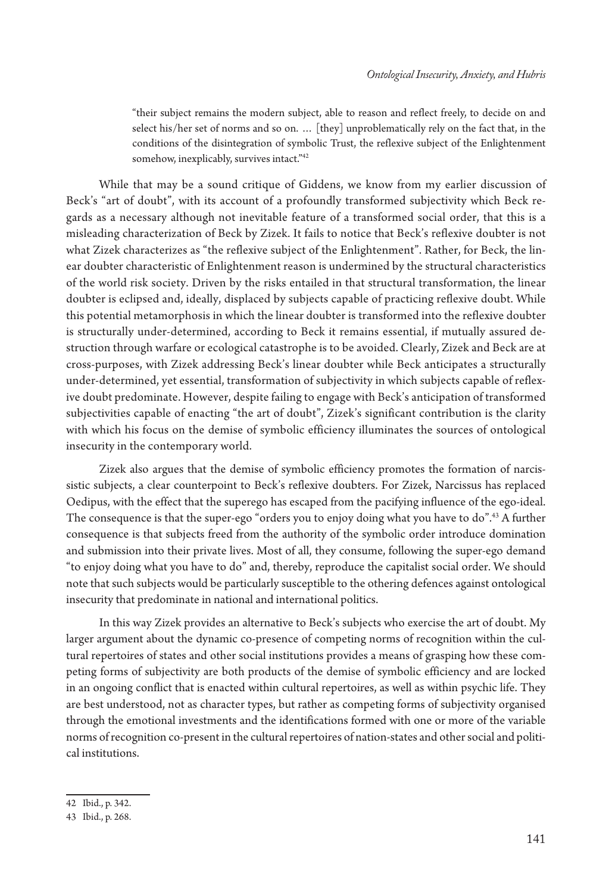"their subject remains the modern subject, able to reason and reflect freely, to decide on and select his/her set of norms and so on. … [they] unproblematically rely on the fact that, in the conditions of the disintegration of symbolic Trust, the reflexive subject of the Enlightenment somehow, inexplicably, survives intact."42

While that may be a sound critique of Giddens, we know from my earlier discussion of Beck's "art of doubt", with its account of a profoundly transformed subjectivity which Beck regards as a necessary although not inevitable feature of a transformed social order, that this is a misleading characterization of Beck by Zizek. It fails to notice that Beck's reflexive doubter is not what Zizek characterizes as "the reflexive subject of the Enlightenment". Rather, for Beck, the linear doubter characteristic of Enlightenment reason is undermined by the structural characteristics of the world risk society. Driven by the risks entailed in that structural transformation, the linear doubter is eclipsed and, ideally, displaced by subjects capable of practicing reflexive doubt. While this potential metamorphosis in which the linear doubter is transformed into the reflexive doubter is structurally under-determined, according to Beck it remains essential, if mutually assured destruction through warfare or ecological catastrophe is to be avoided. Clearly, Zizek and Beck are at cross-purposes, with Zizek addressing Beck's linear doubter while Beck anticipates a structurally under-determined, yet essential, transformation of subjectivity in which subjects capable of reflexive doubt predominate. However, despite failing to engage with Beck's anticipation of transformed subjectivities capable of enacting "the art of doubt", Zizek's significant contribution is the clarity with which his focus on the demise of symbolic efficiency illuminates the sources of ontological insecurity in the contemporary world.

Zizek also argues that the demise of symbolic efficiency promotes the formation of narcissistic subjects, a clear counterpoint to Beck's reflexive doubters. For Zizek, Narcissus has replaced Oedipus, with the effect that the superego has escaped from the pacifying influence of the ego-ideal. The consequence is that the super-ego "orders you to enjoy doing what you have to do".43 A further consequence is that subjects freed from the authority of the symbolic order introduce domination and submission into their private lives. Most of all, they consume, following the super-ego demand "to enjoy doing what you have to do" and, thereby, reproduce the capitalist social order. We should note that such subjects would be particularly susceptible to the othering defences against ontological insecurity that predominate in national and international politics.

In this way Zizek provides an alternative to Beck's subjects who exercise the art of doubt. My larger argument about the dynamic co-presence of competing norms of recognition within the cultural repertoires of states and other social institutions provides a means of grasping how these competing forms of subjectivity are both products of the demise of symbolic efficiency and are locked in an ongoing conflict that is enacted within cultural repertoires, as well as within psychic life. They are best understood, not as character types, but rather as competing forms of subjectivity organised through the emotional investments and the identifications formed with one or more of the variable norms of recognition co-present in the cultural repertoires of nation-states and other social and political institutions.

<sup>42</sup> Ibid., p. 342.

<sup>43</sup> Ibid., p. 268.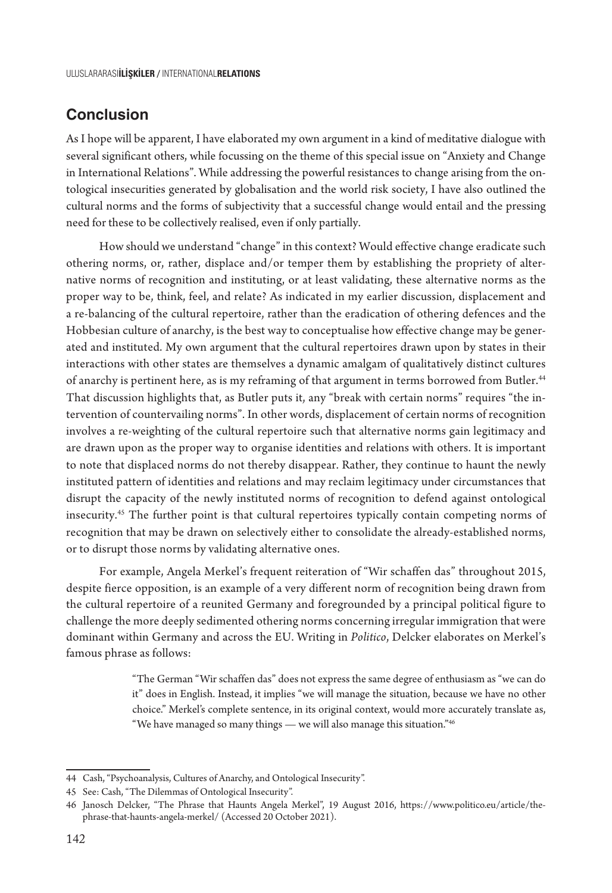#### **Conclusion**

As I hope will be apparent, I have elaborated my own argument in a kind of meditative dialogue with several significant others, while focussing on the theme of this special issue on "Anxiety and Change in International Relations". While addressing the powerful resistances to change arising from the ontological insecurities generated by globalisation and the world risk society, I have also outlined the cultural norms and the forms of subjectivity that a successful change would entail and the pressing need for these to be collectively realised, even if only partially.

How should we understand "change" in this context? Would effective change eradicate such othering norms, or, rather, displace and/or temper them by establishing the propriety of alternative norms of recognition and instituting, or at least validating, these alternative norms as the proper way to be, think, feel, and relate? As indicated in my earlier discussion, displacement and a re-balancing of the cultural repertoire, rather than the eradication of othering defences and the Hobbesian culture of anarchy, is the best way to conceptualise how effective change may be generated and instituted. My own argument that the cultural repertoires drawn upon by states in their interactions with other states are themselves a dynamic amalgam of qualitatively distinct cultures of anarchy is pertinent here, as is my reframing of that argument in terms borrowed from Butler.<sup>44</sup> That discussion highlights that, as Butler puts it, any "break with certain norms" requires "the intervention of countervailing norms". In other words, displacement of certain norms of recognition involves a re-weighting of the cultural repertoire such that alternative norms gain legitimacy and are drawn upon as the proper way to organise identities and relations with others. It is important to note that displaced norms do not thereby disappear. Rather, they continue to haunt the newly instituted pattern of identities and relations and may reclaim legitimacy under circumstances that disrupt the capacity of the newly instituted norms of recognition to defend against ontological insecurity.45 The further point is that cultural repertoires typically contain competing norms of recognition that may be drawn on selectively either to consolidate the already-established norms, or to disrupt those norms by validating alternative ones.

For example, Angela Merkel's frequent reiteration of "Wir schaffen das" throughout 2015, despite fierce opposition, is an example of a very different norm of recognition being drawn from the cultural repertoire of a reunited Germany and foregrounded by a principal political figure to challenge the more deeply sedimented othering norms concerning irregular immigration that were dominant within Germany and across the EU. Writing in *Politico*, Delcker elaborates on Merkel's famous phrase as follows:

> "The German "Wir schaffen das" does not express the same degree of enthusiasm as "we can do it" does in English. Instead, it implies "we will manage the situation, because we have no other choice." Merkel's complete sentence, in its original context, would more accurately translate as, "We have managed so many things — we will also manage this situation."46

<sup>44</sup> Cash, "Psychoanalysis, Cultures of Anarchy, and Ontological Insecurity".

<sup>45</sup> See: Cash, "The Dilemmas of Ontological Insecurity".

<sup>46</sup> Janosch Delcker, "The Phrase that Haunts Angela Merkel", 19 August 2016, https://www.politico.eu/article/thephrase-that-haunts-angela-merkel/ (Accessed 20 October 2021).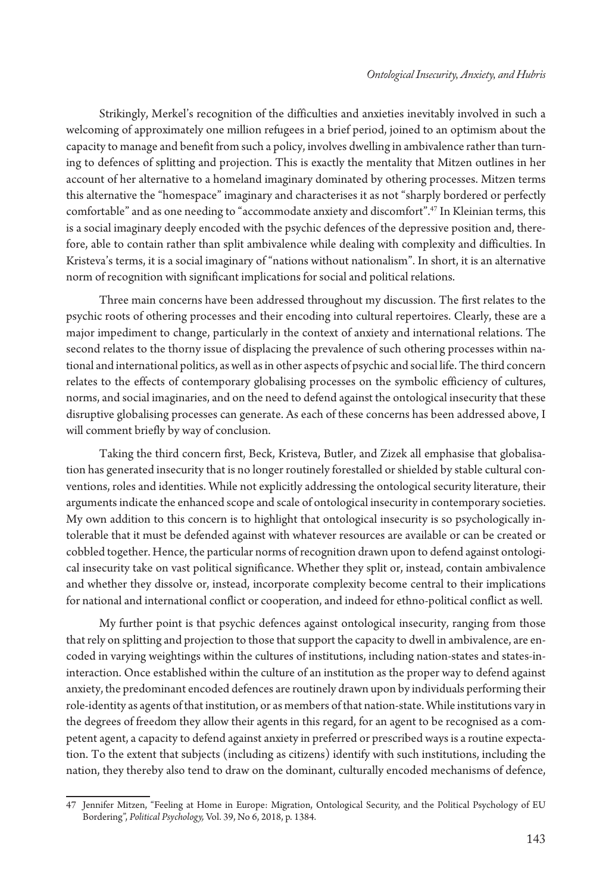Strikingly, Merkel's recognition of the difficulties and anxieties inevitably involved in such a welcoming of approximately one million refugees in a brief period, joined to an optimism about the capacity to manage and benefit from such a policy, involves dwelling in ambivalence rather than turning to defences of splitting and projection. This is exactly the mentality that Mitzen outlines in her account of her alternative to a homeland imaginary dominated by othering processes. Mitzen terms this alternative the "homespace" imaginary and characterises it as not "sharply bordered or perfectly comfortable" and as one needing to "accommodate anxiety and discomfort".47 In Kleinian terms, this is a social imaginary deeply encoded with the psychic defences of the depressive position and, therefore, able to contain rather than split ambivalence while dealing with complexity and difficulties. In Kristeva's terms, it is a social imaginary of "nations without nationalism". In short, it is an alternative norm of recognition with significant implications for social and political relations.

Three main concerns have been addressed throughout my discussion. The first relates to the psychic roots of othering processes and their encoding into cultural repertoires. Clearly, these are a major impediment to change, particularly in the context of anxiety and international relations. The second relates to the thorny issue of displacing the prevalence of such othering processes within national and international politics, as well as in other aspects of psychic and social life. The third concern relates to the effects of contemporary globalising processes on the symbolic efficiency of cultures, norms, and social imaginaries, and on the need to defend against the ontological insecurity that these disruptive globalising processes can generate. As each of these concerns has been addressed above, I will comment briefly by way of conclusion.

Taking the third concern first, Beck, Kristeva, Butler, and Zizek all emphasise that globalisation has generated insecurity that is no longer routinely forestalled or shielded by stable cultural conventions, roles and identities. While not explicitly addressing the ontological security literature, their arguments indicate the enhanced scope and scale of ontological insecurity in contemporary societies. My own addition to this concern is to highlight that ontological insecurity is so psychologically intolerable that it must be defended against with whatever resources are available or can be created or cobbled together. Hence, the particular norms of recognition drawn upon to defend against ontological insecurity take on vast political significance. Whether they split or, instead, contain ambivalence and whether they dissolve or, instead, incorporate complexity become central to their implications for national and international conflict or cooperation, and indeed for ethno-political conflict as well.

My further point is that psychic defences against ontological insecurity, ranging from those that rely on splitting and projection to those that support the capacity to dwell in ambivalence, are encoded in varying weightings within the cultures of institutions, including nation-states and states-ininteraction. Once established within the culture of an institution as the proper way to defend against anxiety, the predominant encoded defences are routinely drawn upon by individuals performing their role-identity as agents of that institution, or as members of that nation-state. While institutions vary in the degrees of freedom they allow their agents in this regard, for an agent to be recognised as a competent agent, a capacity to defend against anxiety in preferred or prescribed ways is a routine expectation. To the extent that subjects (including as citizens) identify with such institutions, including the nation, they thereby also tend to draw on the dominant, culturally encoded mechanisms of defence,

<sup>47</sup> Jennifer Mitzen, "Feeling at Home in Europe: Migration, Ontological Security, and the Political Psychology of EU Bordering", *Political Psychology,* Vol. 39, No 6, 2018, p. 1384.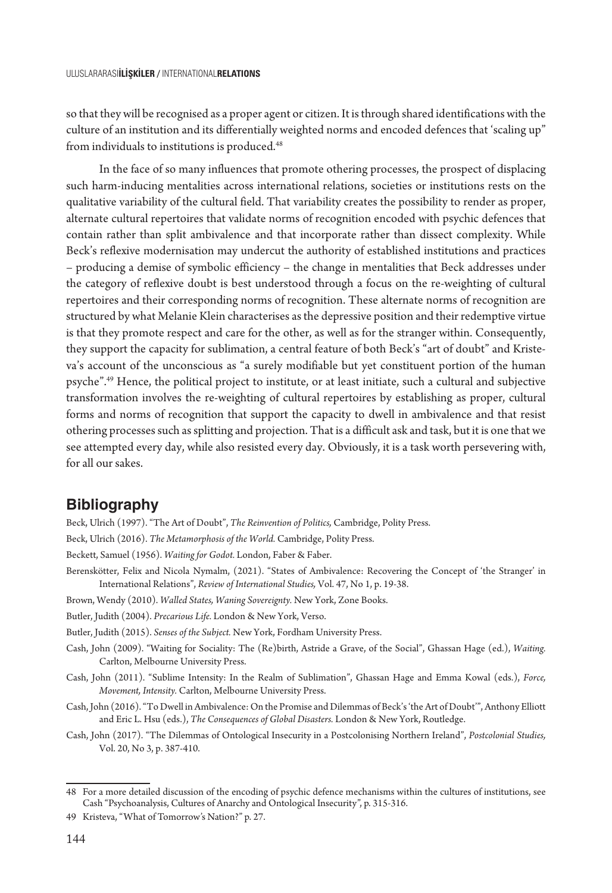so that they will be recognised as a proper agent or citizen. It is through shared identifications with the culture of an institution and its differentially weighted norms and encoded defences that 'scaling up" from individuals to institutions is produced.<sup>48</sup>

In the face of so many influences that promote othering processes, the prospect of displacing such harm-inducing mentalities across international relations, societies or institutions rests on the qualitative variability of the cultural field. That variability creates the possibility to render as proper, alternate cultural repertoires that validate norms of recognition encoded with psychic defences that contain rather than split ambivalence and that incorporate rather than dissect complexity. While Beck's reflexive modernisation may undercut the authority of established institutions and practices – producing a demise of symbolic efficiency – the change in mentalities that Beck addresses under the category of reflexive doubt is best understood through a focus on the re-weighting of cultural repertoires and their corresponding norms of recognition. These alternate norms of recognition are structured by what Melanie Klein characterises as the depressive position and their redemptive virtue is that they promote respect and care for the other, as well as for the stranger within. Consequently, they support the capacity for sublimation, a central feature of both Beck's "art of doubt" and Kristeva's account of the unconscious as "a surely modifiable but yet constituent portion of the human psyche".49 Hence, the political project to institute, or at least initiate, such a cultural and subjective transformation involves the re-weighting of cultural repertoires by establishing as proper, cultural forms and norms of recognition that support the capacity to dwell in ambivalence and that resist othering processes such as splitting and projection. That is a difficult ask and task, but it is one that we see attempted every day, while also resisted every day. Obviously, it is a task worth persevering with, for all our sakes.

#### **Bibliography**

- Beck, Ulrich (1997). "The Art of Doubt", *The Reinvention of Politics,* Cambridge, Polity Press.
- Beck, Ulrich (2016). *The Metamorphosis of the World.* Cambridge, Polity Press.

Beckett, Samuel (1956). *Waiting for Godot.* London, Faber & Faber.

- Berenskötter, Felix and Nicola Nymalm, (2021). "States of Ambivalence: Recovering the Concept of 'the Stranger' in International Relations", *Review of International Studies,* Vol. 47, No 1, p. 19-38.
- Brown, Wendy (2010). *Walled States, Waning Sovereignty.* New York, Zone Books.
- Butler, Judith (2004). *Precarious Life.* London & New York, Verso.

Butler, Judith (2015). *Senses of the Subject.* New York, Fordham University Press.

- Cash, John (2009). "Waiting for Sociality: The (Re)birth, Astride a Grave, of the Social", Ghassan Hage (ed.), *Waiting.* Carlton, Melbourne University Press.
- Cash, John (2011). "Sublime Intensity: In the Realm of Sublimation", Ghassan Hage and Emma Kowal (eds.), *Force, Movement, Intensity.* Carlton, Melbourne University Press.
- Cash, John (2016). "To Dwell in Ambivalence: On the Promise and Dilemmas of Beck's 'the Art of Doubt'", Anthony Elliott and Eric L. Hsu (eds.), *The Consequences of Global Disasters.* London & New York, Routledge.
- Cash, John (2017). "The Dilemmas of Ontological Insecurity in a Postcolonising Northern Ireland", *Postcolonial Studies,*  Vol. 20, No 3, p. 387-410.

<sup>48</sup> For a more detailed discussion of the encoding of psychic defence mechanisms within the cultures of institutions, see Cash "Psychoanalysis, Cultures of Anarchy and Ontological Insecurity", p. 315-316.

<sup>49</sup> Kristeva, "What of Tomorrow's Nation?" p. 27.